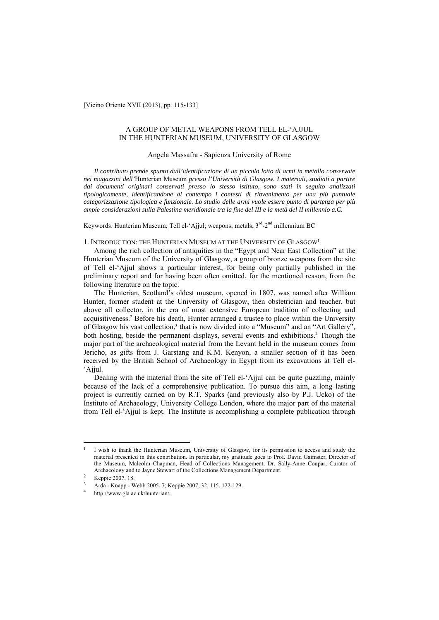[Vicino Oriente XVII (2013), pp. 115-133]

# A GROUP OF METAL WEAPONS FROM TELL EL-'AJJUL IN THE HUNTERIAN MUSEUM, UNIVERSITY OF GLASGOW

# Angela Massafra - Sapienza University of Rome

*Il contributo prende spunto dall'identificazione di un piccolo lotto di armi in metallo conservate nei magazzini dell'*Hunterian Museum *presso l'Università di Glasgow. I materiali, studiati a partire dai documenti originari conservati presso lo stesso istituto, sono stati in seguito analizzati tipologicamente, identificandone al contempo i contesti di rinvenimento per una più puntuale categorizzazione tipologica e funzionale. Lo studio delle armi vuole essere punto di partenza per più ampie considerazioni sulla Palestina meridionale tra la fine del III e la metà del II millennio a.C.* 

Keywords: Hunterian Museum; Tell el-'Ajjul; weapons; metals; 3<sup>rd</sup>-2<sup>nd</sup> millennium BC

# 1. INTRODUCTION: THE HUNTERIAN MUSEUM AT THE UNIVERSITY OF GLASGOW1

Among the rich collection of antiquities in the "Egypt and Near East Collection" at the Hunterian Museum of the University of Glasgow, a group of bronze weapons from the site of Tell el-'Ajjul shows a particular interest, for being only partially published in the preliminary report and for having been often omitted, for the mentioned reason, from the following literature on the topic.

The Hunterian, Scotland's oldest museum, opened in 1807, was named after William Hunter, former student at the University of Glasgow, then obstetrician and teacher, but above all collector, in the era of most extensive European tradition of collecting and acquisitiveness.<sup>2</sup> Before his death, Hunter arranged a trustee to place within the University of Glasgow his vast collection,<sup>3</sup> that is now divided into a "Museum" and an "Art Gallery", both hosting, beside the permanent displays, several events and exhibitions.<sup>4</sup> Though the major part of the archaeological material from the Levant held in the museum comes from Jericho, as gifts from J. Garstang and K.M. Kenyon, a smaller section of it has been received by the British School of Archaeology in Egypt from its excavations at Tell el- 'Ajjul.

Dealing with the material from the site of Tell el-'Ajjul can be quite puzzling, mainly because of the lack of a comprehensive publication. To pursue this aim, a long lasting project is currently carried on by R.T. Sparks (and previously also by P.J. Ucko) of the Institute of Archaeology, University College London, where the major part of the material from Tell el-'Ajjul is kept. The Institute is accomplishing a complete publication through

<sup>1</sup> I wish to thank the Hunterian Museum, University of Glasgow, for its permission to access and study the material presented in this contribution. In particular, my gratitude goes to Prof. David Gaimster, Director of the Museum, Malcolm Chapman, Head of Collections Management, Dr. Sally-Anne Coupar, Curator of Archaeology and to Jayne Stewart of the Collections Management Department.<br><sup>2</sup> Keppie 2007, 18.<br><sup>3</sup> Arda - Knapp - Webb 2005, 7; Keppie 2007, 32, 115, 122-129.

http://www.gla.ac.uk/hunterian/.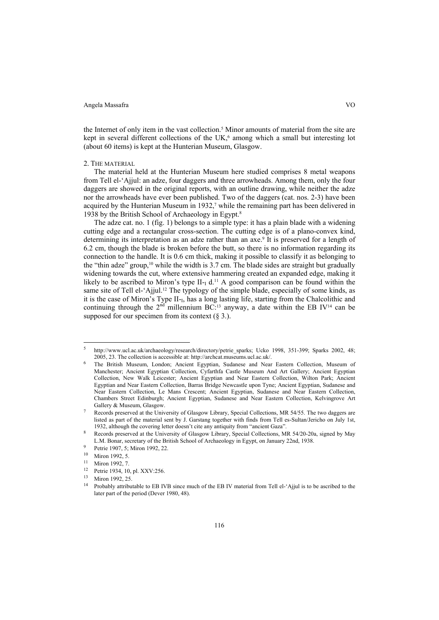the Internet of only item in the vast collection.5 Minor amounts of material from the site are kept in several different collections of the UK, $6$  among which a small but interesting lot (about 60 items) is kept at the Hunterian Museum, Glasgow.

#### 2. THE MATERIAL

The material held at the Hunterian Museum here studied comprises 8 metal weapons from Tell el-'Ajjul: an adze, four daggers and three arrowheads. Among them, only the four daggers are showed in the original reports, with an outline drawing, while neither the adze nor the arrowheads have ever been published. Two of the daggers (cat. nos. 2-3) have been acquired by the Hunterian Museum in 1932,<sup>7</sup> while the remaining part has been delivered in 1938 by the British School of Archaeology in Egypt.8

The adze cat. no. 1 (fig. 1) belongs to a simple type: it has a plain blade with a widening cutting edge and a rectangular cross-section. The cutting edge is of a plano-convex kind, determining its interpretation as an adze rather than an axe.<sup>9</sup> It is preserved for a length of 6.2 cm, though the blade is broken before the butt, so there is no information regarding its connection to the handle. It is 0.6 cm thick, making it possible to classify it as belonging to the "thin adze" group, $10$  while the width is 3.7 cm. The blade sides are straight but gradually widening towards the cut, where extensive hammering created an expanded edge, making it likely to be ascribed to Miron's type  $II$ -<sub>I</sub> d.<sup>11</sup> A good comparison can be found within the same site of Tell el-'Ajjul.<sup>12</sup> The typology of the simple blade, especially of some kinds, as it is the case of Miron's Type  $II_{-1}$ , has a long lasting life, starting from the Chalcolithic and continuing through the  $2<sup>nd</sup>$  millennium BC:<sup>13</sup> anyway, a date within the EB IV<sup>14</sup> can be supposed for our specimen from its context  $(\S 3)$ .

<sup>5</sup> http://www.ucl.ac.uk/archaeology/research/directory/petrie\_sparks; Ucko 1998, 351-399; Sparks 2002, 48; 2005, 23. The collection is accessible at: http://archcat.museums.ucl.ac.uk/.

The British Museum, London; Ancient Egyptian, Sudanese and Near Eastern Collection, Museum of Manchester; Ancient Egyptian Collection, Cyfarthfa Castle Museum And Art Gallery; Ancient Egyptian Collection, New Walk Leicester; Ancient Egyptian and Near Eastern Collection, Wilton Park; Ancient Egyptian and Near Eastern Collection, Barras Bridge Newcastle upon Tyne; Ancient Egyptian, Sudanese and Near Eastern Collection, Le Mans Crescent; Ancient Egyptian, Sudanese and Near Eastern Collection, Chambers Street Edinburgh; Ancient Egyptian, Sudanese and Near Eastern Collection, Kelvingrove Art Gallery & Museum, Glasgow.<br>Records preserved at the University of Glasgow Library, Special Collections, MR 54/55. The two daggers are

listed as part of the material sent by J. Garstang together with finds from Tell es-Sultan/Jericho on July 1st,

<sup>1932,</sup> although the covering letter doesn't cite any antiquity from "ancient Gaza".<br>Records preserved at the University of Glasgow Library, Special Collections, MR 54/20-20a, signed by May<br>L.M. Bonar, secretary of the Briti

<sup>9</sup> Petrie 1907, 5; Miron 1992, 22.<br>
<sup>10</sup> Miron 1992, 5.<br>
<sup>11</sup> Miron 1992, 7.<br>
<sup>12</sup> Petrie 1934, 10, pl. XXV:256.<br>
<sup>13</sup> Miron 1992, 25.<br>
<sup>14</sup> Probably attributable to EB IVB since much of the EB IV material from Tell el-'Aj later part of the period (Dever 1980, 48).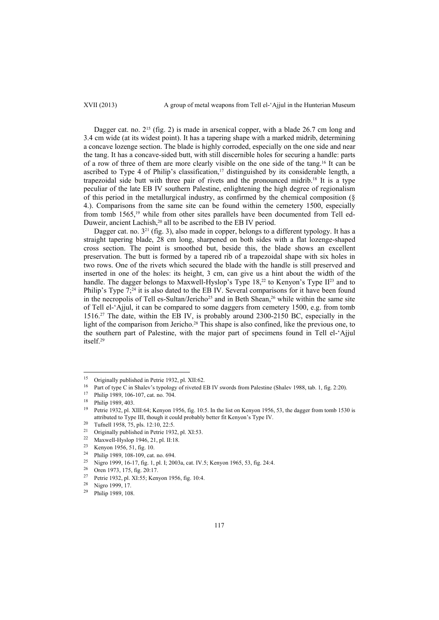Dagger cat. no. 2<sup>15</sup> (fig. 2) is made in arsenical copper, with a blade 26.7 cm long and 3.4 cm wide (at its widest point). It has a tapering shape with a marked midrib, determining a concave lozenge section. The blade is highly corroded, especially on the one side and near the tang. It has a concave-sided butt, with still discernible holes for securing a handle: parts of a row of three of them are more clearly visible on the one side of the tang.16 It can be ascribed to Type 4 of Philip's classification,<sup>17</sup> distinguished by its considerable length, a trapezoidal side butt with three pair of rivets and the pronounced midrib.18 It is a type peculiar of the late EB IV southern Palestine, enlightening the high degree of regionalism of this period in the metallurgical industry, as confirmed by the chemical composition (§ 4.). Comparisons from the same site can be found within the cemetery 1500, especially from tomb 1565,<sup>19</sup> while from other sites parallels have been documented from Tell ed-Duweir, ancient Lachish,20 all to be ascribed to the EB IV period.

Dagger cat. no.  $3^{21}$  (fig. 3), also made in copper, belongs to a different typology. It has a straight tapering blade, 28 cm long, sharpened on both sides with a flat lozenge-shaped cross section. The point is smoothed but, beside this, the blade shows an excellent preservation. The butt is formed by a tapered rib of a trapezoidal shape with six holes in two rows. One of the rivets which secured the blade with the handle is still preserved and inserted in one of the holes: its height, 3 cm, can give us a hint about the width of the handle. The dagger belongs to Maxwell-Hyslop's Type 18,<sup>22</sup> to Kenyon's Type II<sup>23</sup> and to Philip's Type 7;<sup>24</sup> it is also dated to the EB IV. Several comparisons for it have been found in the necropolis of Tell es-Sultan/Jericho<sup>25</sup> and in Beth Shean,<sup>26</sup> while within the same site of Tell el-'Ajjul, it can be compared to some daggers from cemetery 1500, e.g. from tomb 1516.27 The date, within the EB IV, is probably around 2300-2150 BC, especially in the light of the comparison from Jericho.<sup>28</sup> This shape is also confined, like the previous one, to the southern part of Palestine, with the major part of specimens found in Tell el-'Ajjul itself.29

<sup>&</sup>lt;sup>15</sup> Originally published in Petrie 1932, pl. XII:62.<br><sup>16</sup> Part of type C in Shalev's typology of riveted EB IV swords from Palestine (Shalev 1988, tab. 1, fig. 2:20).<br><sup>17</sup> Philip 1989, 106-107, cat. no. 704.

 $^{18}$  Philip 1989, 403.

<sup>19</sup> Petrie 1932, pl. XIII:64; Kenyon 1956, fig. 10:5. In the list on Kenyon 1956, 53, the dagger from tomb 1530 is attributed to Type III, though it could probably better fit Kenyon's Type IV.<br>
<sup>20</sup> Tufnell 1958, 75, pls. 12:10, 22:5.<br>
<sup>21</sup> Originally multicled in Batria 1922, pl. Y1:52.

<sup>21</sup> Originally published in Petrie 1932, pl. XI:53.<br>
22 Maxwell-Hyslop 1946, 21, pl. II:18.<br>
23 Kenyon 1956, 51, fig. 10.<br>
24 Bhilin 1980, 198, 199, and an COA

<sup>&</sup>lt;sup>24</sup> Philip 1989, 108-109, cat. no. 694.

Nigro 1999, 16-17, fig. 1, pl. I; 2003a, cat. IV.5; Kenyon 1965, 53, fig. 24:4. Oren 1973, 175, fig. 20:17.

<sup>&</sup>lt;sup>27</sup> Petrie 1932, pl. XI:55; Kenyon 1956, fig. 10:4.<br><sup>28</sup> Nigro 1999, 17.<br><sup>29</sup> Philip 1989, 108.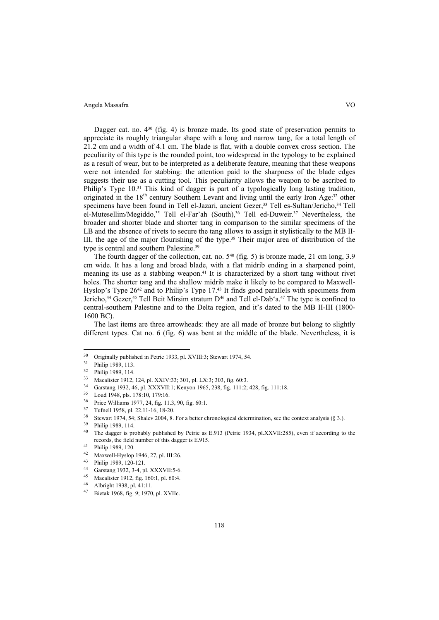Dagger cat. no.  $4^{30}$  (fig. 4) is bronze made. Its good state of preservation permits to appreciate its roughly triangular shape with a long and narrow tang, for a total length of 21.2 cm and a width of 4.1 cm. The blade is flat, with a double convex cross section. The peculiarity of this type is the rounded point, too widespread in the typology to be explained as a result of wear, but to be interpreted as a deliberate feature, meaning that these weapons were not intended for stabbing: the attention paid to the sharpness of the blade edges suggests their use as a cutting tool. This peculiarity allows the weapon to be ascribed to Philip's Type 10.<sup>31</sup> This kind of dagger is part of a typologically long lasting tradition, originated in the 18<sup>th</sup> century Southern Levant and living until the early Iron Age:<sup>32</sup> other specimens have been found in Tell el-Jazari, ancient Gezer,<sup>33</sup> Tell es-Sultan/Jericho,<sup>34</sup> Tell el-Mutesellim/Megiddo,<sup>35</sup> Tell el-Far'ah (South),<sup>36</sup> Tell ed-Duweir.<sup>37</sup> Nevertheless, the broader and shorter blade and shorter tang in comparison to the similar specimens of the LB and the absence of rivets to secure the tang allows to assign it stylistically to the MB II-III, the age of the major flourishing of the type.38 Their major area of distribution of the type is central and southern Palestine.39

The fourth dagger of the collection, cat. no. 5<sup>40</sup> (fig. 5) is bronze made, 21 cm long, 3.9 cm wide. It has a long and broad blade, with a flat midrib ending in a sharpened point, meaning its use as a stabbing weapon.<sup>41</sup> It is characterized by a short tang without rivet holes. The shorter tang and the shallow midrib make it likely to be compared to Maxwell-Hyslop's Type  $26^{42}$  and to Philip's Type 17.<sup>43</sup> It finds good parallels with specimens from Jericho,<sup>44</sup> Gezer,<sup>45</sup> Tell Beit Mirsim stratum D<sup>46</sup> and Tell el-Dab'a.<sup>47</sup> The type is confined to central-southern Palestine and to the Delta region, and it's dated to the MB II-III (1800- 1600 BC).

The last items are three arrowheads: they are all made of bronze but belong to slightly different types. Cat no. 6 (fig. 6) was bent at the middle of the blade. Nevertheless, it is

 $\overline{a}$ 

- 34 Garstang 1932, 46, pl. XXXVII:1; Kenyon 1965, 238, fig. 111:2; 428, fig. 111:18.<br>35 Loud 1948, pls. 178:10, 179:16.<br>36 Drive Williams 1977, 24, fig. 11, 2, 90, fig. 60.1
- 
- 
- 
- <sup>36</sup> Price Williams 1977, 24, fig. 11.3, 90, fig. 60:1.<br><sup>37</sup> Tufnell 1958, pl. 22.11-16, 18-20.<br><sup>38</sup> Stewart 1974, 54; Shalev 2004, 8. For a better chronological determination, see the context analysis (§ 3.).<br><sup>39</sup> Philip

118

- 44 Garstang 1932, 3-4, pl. XXXVII:5-6.
- 45 Macalister 1912, fig. 160:1, pl. 60:4.<br>46 Albright 1938, pl. 41:11.<br><sup>47</sup> Bietak 1968, fig. 9; 1970, pl. XVIIc.

 $\frac{30}{1}$  Originally published in Petrie 1933, pl. XVIII:3; Stewart 1974, 54.

<sup>&</sup>lt;sup>31</sup> Philip 1989, 113.<br><sup>32</sup> Philip 1989, 114.<br><sup>33</sup> Magalistar 1012.

Macalister 1912, 124, pl. XXIV:33; 301, pl. LX:3; 303, fig. 60:3.

records, the field number of this dagger is E.915.<br><sup>41</sup> Philip 1989, 120.<br><sup>42</sup> Manuell Higher 1946, 27 Ph Higher

<sup>42</sup> Maxwell-Hyslop 1946, 27, pl. III:26. 43 Philip 1989, 120-121.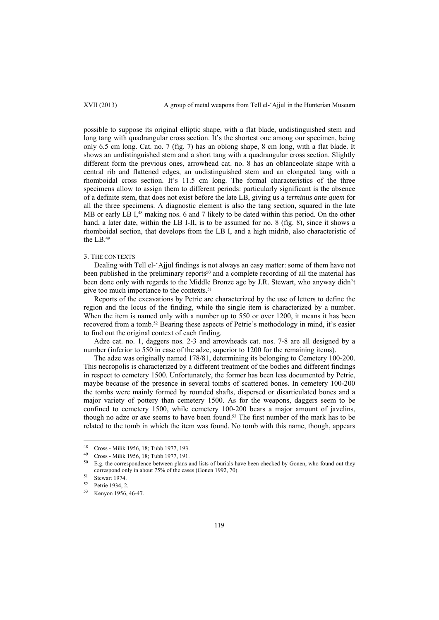possible to suppose its original elliptic shape, with a flat blade, undistinguished stem and long tang with quadrangular cross section. It's the shortest one among our specimen, being only 6.5 cm long. Cat. no. 7 (fig. 7) has an oblong shape, 8 cm long, with a flat blade. It shows an undistinguished stem and a short tang with a quadrangular cross section. Slightly different form the previous ones, arrowhead cat. no. 8 has an oblanceolate shape with a central rib and flattened edges, an undistinguished stem and an elongated tang with a rhomboidal cross section. It's 11.5 cm long. The formal characteristics of the three specimens allow to assign them to different periods: particularly significant is the absence of a definite stem, that does not exist before the late LB, giving us a *terminus ante quem* for all the three specimens. A diagnostic element is also the tang section, squared in the late MB or early LB I,<sup>48</sup> making nos. 6 and 7 likely to be dated within this period. On the other hand, a later date, within the LB I-II, is to be assumed for no. 8 (fig. 8), since it shows a rhomboidal section, that develops from the LB I, and a high midrib, also characteristic of the LB.49

## 3. THE CONTEXTS

Dealing with Tell el-'Ajjul findings is not always an easy matter: some of them have not been published in the preliminary reports<sup>50</sup> and a complete recording of all the material has been done only with regards to the Middle Bronze age by J.R. Stewart, who anyway didn't give too much importance to the contexts.<sup>51</sup>

Reports of the excavations by Petrie are characterized by the use of letters to define the region and the locus of the finding, while the single item is characterized by a number. When the item is named only with a number up to 550 or over 1200, it means it has been recovered from a tomb.52 Bearing these aspects of Petrie's methodology in mind, it's easier to find out the original context of each finding.

Adze cat. no. 1, daggers nos. 2-3 and arrowheads cat. nos. 7-8 are all designed by a number (inferior to 550 in case of the adze, superior to 1200 for the remaining items).

The adze was originally named 178/81, determining its belonging to Cemetery 100-200. This necropolis is characterized by a different treatment of the bodies and different findings in respect to cemetery 1500. Unfortunately, the former has been less documented by Petrie, maybe because of the presence in several tombs of scattered bones. In cemetery 100-200 the tombs were mainly formed by rounded shafts, dispersed or disarticulated bones and a major variety of pottery than cemetery 1500. As for the weapons, daggers seem to be confined to cemetery 1500, while cemetery 100-200 bears a major amount of javelins, though no adze or axe seems to have been found.<sup>53</sup> The first number of the mark has to be related to the tomb in which the item was found. No tomb with this name, though, appears

<sup>48</sup> <sup>48</sup> Cross - Milik 1956, 18; Tubb 1977, 193.<br><sup>49</sup> Cross - Milik 1956, 18: Tubb 1977, 191.

 $^{49}$  Cross - Milik 1956, 18; Tubb 1977, 191.

E.g. the correspondence between plans and lists of burials have been checked by Gonen, who found out they correspond only in about 75% of the cases (Gonen 1992, 70).<br>
Stewart 1974.<br>
Sterie 1934, 2.<br>
Stewart 1956, 46.47

Kenyon 1956, 46-47.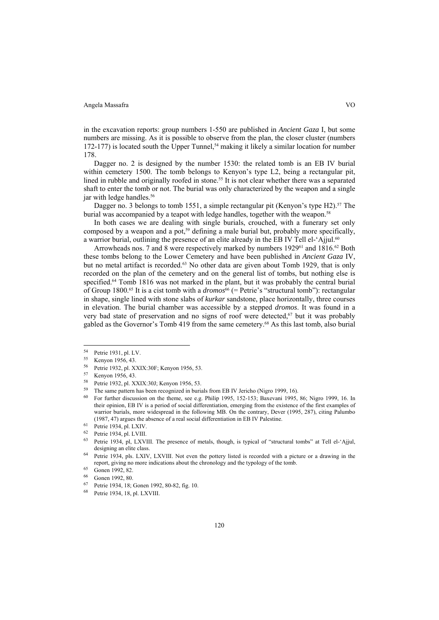in the excavation reports: group numbers 1-550 are published in *Ancient Gaza* I, but some numbers are missing. As it is possible to observe from the plan, the closer cluster (numbers  $172-177$ ) is located south the Upper Tunnel,<sup>54</sup> making it likely a similar location for number 178.

Dagger no. 2 is designed by the number 1530: the related tomb is an EB IV burial within cemetery 1500. The tomb belongs to Kenyon's type L2, being a rectangular pit, lined in rubble and originally roofed in stone.<sup>55</sup> It is not clear whether there was a separated shaft to enter the tomb or not. The burial was only characterized by the weapon and a single jar with ledge handles.<sup>56</sup>

Dagger no. 3 belongs to tomb 1551, a simple rectangular pit (Kenyon's type H2).<sup>57</sup> The burial was accompanied by a teapot with ledge handles, together with the weapon.<sup>58</sup>

In both cases we are dealing with single burials, crouched, with a funerary set only composed by a weapon and a pot,<sup>59</sup> defining a male burial but, probably more specifically, a warrior burial, outlining the presence of an elite already in the EB IV Tell el-'Ajjul.<sup>60</sup>

Arrowheads nos. 7 and 8 were respectively marked by numbers  $1929^{61}$  and  $1816^{62}$  Both these tombs belong to the Lower Cemetery and have been published in *Ancient Gaza* IV, but no metal artifact is recorded.<sup>63</sup> No other data are given about Tomb 1929, that is only recorded on the plan of the cemetery and on the general list of tombs, but nothing else is specified.<sup>64</sup> Tomb 1816 was not marked in the plant, but it was probably the central burial of Group 1800.<sup>65</sup> It is a cist tomb with a *dromos*<sup>66</sup> (= Petrie's "structural tomb"): rectangular in shape, single lined with stone slabs of *kurkar* sandstone, place horizontally, three courses in elevation. The burial chamber was accessible by a stepped *dromos*. It was found in a very bad state of preservation and no signs of roof were detected,<sup>67</sup> but it was probably gabled as the Governor's Tomb 419 from the same cemetery.68 As this last tomb, also burial

<sup>&</sup>lt;sup>54</sup> Petrie 1931, pl. LV.<br>
<sup>55</sup> Kenyon 1956, 43.<br>
<sup>56</sup> P. (1932), LYV.

<sup>&</sup>lt;sup>56</sup> Petrie 1932, pl. XXIX:30F; Kenyon 1956, 53.<br>
<sup>57</sup> Kenyon 1956, 43.<br>
<sup>58</sup> Petria 1932, al. XXIX:30L; Kenyon 1956, 53.

Petrie 1932, pl. XXIX:30J; Kenyon 1956, 53.

<sup>59</sup> The same pattern has been recognized in burials from EB IV Jericho (Nigro 1999, 16).

<sup>60</sup> For further discussion on the theme, see e.g. Philip 1995, 152-153; Baxevani 1995, 86; Nigro 1999, 16. In their opinion, EB IV is a period of social differentiation, emerging from the existence of the first examples of warrior burials, more widespread in the following MB. On the contrary, Dever (1995, 287), citing Palumbo (1987, 47) argues the absence of a real social differentiation in EB IV Palestine.<br>
<sup>61</sup> Petrie 1934, pl. LXIV.<br>
<sup>62</sup> Petrie 1934, pl. LVIII.

<sup>&</sup>lt;sup>63</sup> Petrie 1934, pl, LXVIII. The presence of metals, though, is typical of "structural tombs" at Tell el-'Ajjul, designing an elite class.<br>
<sup>64</sup> Petrie 1934, pls. LXIV, LXVIII. Not even the pottery listed is recorded with a picture or a drawing in the

report, giving no more indications about the chronology and the typology of the tomb.<br>
65 Gonen 1992, 82.<br>
66 Gonen 1992, 80.<br>
67 Detrix 1924, 18: Gonen 1992, 80.

<sup>67</sup> Petrie 1934, 18; Gonen 1992, 80-82, fig. 10. 68 Petrie 1934, 18, pl. LXVIII.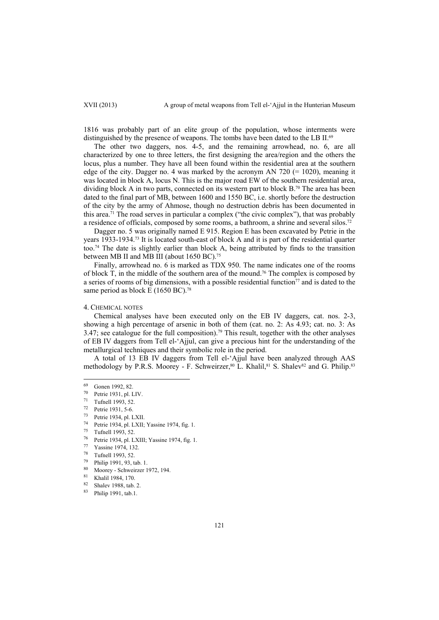1816 was probably part of an elite group of the population, whose interments were distinguished by the presence of weapons. The tombs have been dated to the LB II.<sup>69</sup>

The other two daggers, nos. 4-5, and the remaining arrowhead, no. 6, are all characterized by one to three letters, the first designing the area/region and the others the locus, plus a number. They have all been found within the residential area at the southern edge of the city. Dagger no. 4 was marked by the acronym AN 720  $(= 1020)$ , meaning it was located in block A, locus N. This is the major road EW of the southern residential area, dividing block A in two parts, connected on its western part to block B.<sup>70</sup> The area has been dated to the final part of MB, between 1600 and 1550 BC, i.e. shortly before the destruction of the city by the army of Ahmose, though no destruction debris has been documented in this area.<sup>71</sup> The road serves in particular a complex ("the civic complex"), that was probably a residence of officials, composed by some rooms, a bathroom, a shrine and several silos.72

Dagger no. 5 was originally named E 915. Region E has been excavated by Petrie in the years 1933-1934.73 It is located south-east of block A and it is part of the residential quarter too.74 The date is slightly earlier than block A, being attributed by finds to the transition between MB II and MB III (about 1650 BC).<sup>75</sup>

Finally, arrowhead no. 6 is marked as TDX 950. The name indicates one of the rooms of block  $T$ , in the middle of the southern area of the mound.<sup>76</sup> The complex is composed by a series of rooms of big dimensions, with a possible residential function $77$  and is dated to the same period as block E (1650 BC).<sup>78</sup>

#### 4. CHEMICAL NOTES

Chemical analyses have been executed only on the EB IV daggers, cat. nos. 2-3, showing a high percentage of arsenic in both of them (cat. no. 2: As 4.93; cat. no. 3: As 3.47; see catalogue for the full composition).<sup>79</sup> This result, together with the other analyses of EB IV daggers from Tell el-'Ajjul, can give a precious hint for the understanding of the metallurgical techniques and their symbolic role in the period.

A total of 13 EB IV daggers from Tell el-'Ajjul have been analyzed through AAS methodology by P.R.S. Moorey - F. Schweirzer,<sup>80</sup> L. Khalil,<sup>81</sup> S. Shalev<sup>82</sup> and G. Philip.<sup>83</sup>

<sup>69</sup> Gonen 1992, 82.<br>
70 Petrie 1931, pl. LIV.<br>
71 Tufnell 1993, 52.

<sup>&</sup>lt;sup>72</sup> Petrie 1931, 5-6.<br><sup>73</sup> Petrie 1934, pl. LXII.

<sup>74</sup> Petrie 1934, pl. LXII; Yassine 1974, fig. 1.<br> $^{75}$  Tufnell 1992, 52

 $^{75}$  Tufnell 1993, 52.<br> $^{76}$  Potric 1934 pl J

<sup>76</sup> Petrie 1934, pl. LXIII; Yassine 1974, fig. 1.

<sup>77</sup> Yassine 1974, 132.<br>
78 Tufnell 1993, 52.<br>
79 Philip 1991, 93, tab. 1.<br>
80 Moorey - Schweirzer 1972, 194.<br>
81 Khalil 1984, 170.

 $\frac{82}{83}$  Shalev 1988, tab. 2.

Philip 1991, tab.1.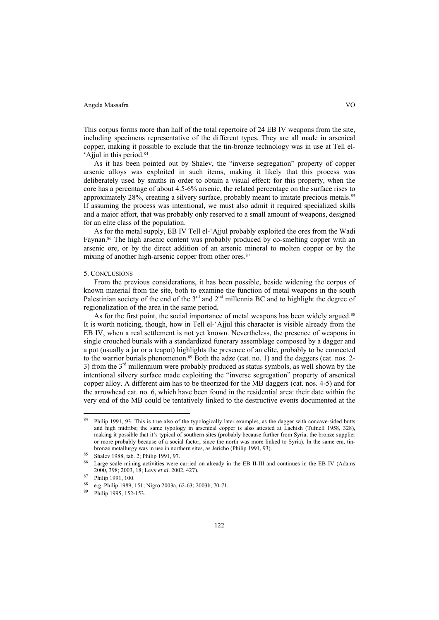This corpus forms more than half of the total repertoire of 24 EB IV weapons from the site, including specimens representative of the different types. They are all made in arsenical copper, making it possible to exclude that the tin-bronze technology was in use at Tell el- 'Ajjul in this period.84

As it has been pointed out by Shalev, the "inverse segregation" property of copper arsenic alloys was exploited in such items, making it likely that this process was deliberately used by smiths in order to obtain a visual effect: for this property, when the core has a percentage of about 4.5-6% arsenic, the related percentage on the surface rises to approximately 28%, creating a silvery surface, probably meant to imitate precious metals.85 If assuming the process was intentional, we must also admit it required specialized skills and a major effort, that was probably only reserved to a small amount of weapons, designed for an elite class of the population.

As for the metal supply, EB IV Tell el-'Ajjul probably exploited the ores from the Wadi Faynan.<sup>86</sup> The high arsenic content was probably produced by co-smelting copper with an arsenic ore, or by the direct addition of an arsenic mineral to molten copper or by the mixing of another high-arsenic copper from other ores.<sup>87</sup>

#### 5. CONCLUSIONS

From the previous considerations, it has been possible, beside widening the corpus of known material from the site, both to examine the function of metal weapons in the south Palestinian society of the end of the  $3<sup>rd</sup>$  and  $2<sup>nd</sup>$  millennia BC and to highlight the degree of regionalization of the area in the same period.

As for the first point, the social importance of metal weapons has been widely argued.<sup>88</sup> It is worth noticing, though, how in Tell el-'Ajjul this character is visible already from the EB IV, when a real settlement is not yet known. Nevertheless, the presence of weapons in single crouched burials with a standardized funerary assemblage composed by a dagger and a pot (usually a jar or a teapot) highlights the presence of an elite, probably to be connected to the warrior burials phenomenon.<sup>89</sup> Both the adze (cat. no. 1) and the daggers (cat. nos. 2-3) from the 3rd millennium were probably produced as status symbols, as well shown by the intentional silvery surface made exploiting the "inverse segregation" property of arsenical copper alloy. A different aim has to be theorized for the MB daggers (cat. nos. 4-5) and for the arrowhead cat. no. 6, which have been found in the residential area: their date within the very end of the MB could be tentatively linked to the destructive events documented at the

l

<sup>84</sup> Philip 1991, 93. This is true also of the typologically later examples, as the dagger with concave-sided butts and high midribs; the same typology in arsenical copper is also attested at Lachish (Tufnell 1958, 328), making it possible that it's typical of southern sites (probably because further from Syria, the bronze supplier or more probably because of a social factor, since the north was more linked to Syria). In the same era, tinbronze metallurgy was in use in northern sites, as Jericho (Philip 1991, 93).<br><sup>85</sup> Shalev 1988, tab. 2; Philip 1991, 97.

Large scale mining activities were carried on already in the EB II-III and continues in the EB IV (Adams 2000, 398; 2003, 18; Levy *et al*. 2002, 427). 87 Philip 1991, 100.

<sup>88</sup> e.g. Philip 1989, 151; Nigro 2003a, 62-63; 2003b, 70-71. 89 Philip 1995, 152-153.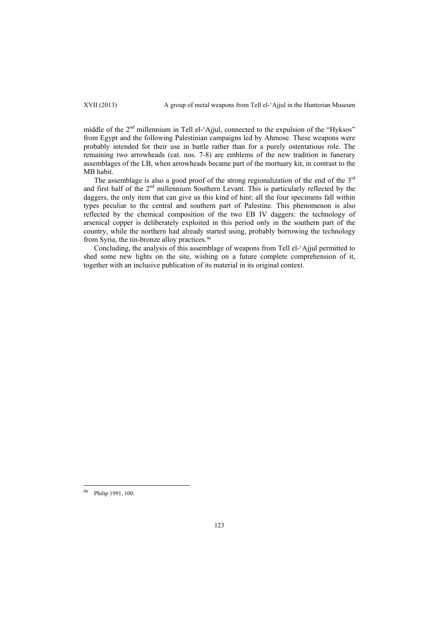middle of the 2<sup>nd</sup> millennium in Tell el-'Ajjul, connected to the expulsion of the "Hyksos" from Egypt and the following Palestinian campaigns led by Ahmose. These weapons were probably intended for their use in battle rather than for a purely ostentatious role. The remaining two arrowheads (cat. nos. 7-8) are emblems of the new tradition in funerary assemblages of the LB, when arrowheads became part of the mortuary kit, in contrast to the MB habit.

The assemblage is also a good proof of the strong regionalization of the end of the 3<sup>rd</sup> and first half of the  $2<sup>nd</sup>$  millennium Southern Levant. This is particularly reflected by the daggers, the only item that can give us this kind of hint: all the four specimens fall within types peculiar to the central and southern part of Palestine. This phenomenon is also reflected by the chemical composition of the two EB IV daggers: the technology of arsenical copper is deliberately exploited in this period only in the southern part of the country, while the northern had already started using, probably borrowing the technology from Syria, the tin-bronze alloy practices.<sup>90</sup>

Concluding, the analysis of this assemblage of weapons from Tell el-'Ajjul permitted to shed some new lights on the site, wishing on a future complete comprehension of it, together with an inclusive publication of its material in its original context.

Philip 1991, 100.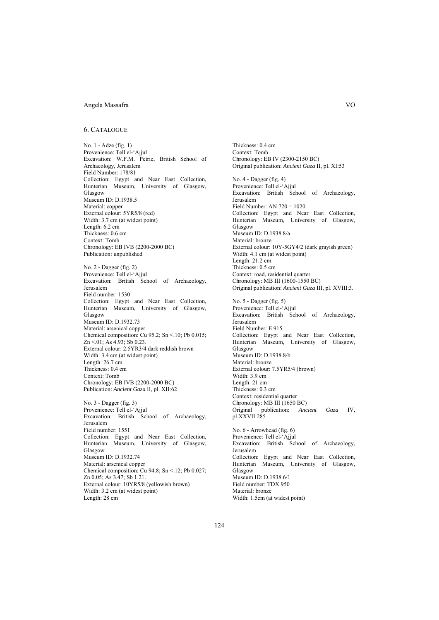#### 6. CATALOGUE

No. 1 - Adze (fig. 1) Provenience: Tell el-'Ajjul Excavation: W.F.M. Petrie, British School of Archaeology, Jerusalem Field Number: 178/81 Collection: Egypt and Near East Collection, Hunterian Museum, University of Glasgow, Glasgow Museum ID: D.1938.5 Material: copper External colour: 5YR5/8 (red) Width: 3.7 cm (at widest point) Length: 6.2 cm Thickness: 0.6 cm Context: Tomb Chronology: EB IVB (2200-2000 BC) Publication: unpublished No. 2 - Dagger (fig. 2) Provenience: Tell el-'Ajjul Excavation: British School of Archaeology, Jerusalem Field number: 1530 Collection: Egypt and Near East Collection, Hunterian Museum, University of Glasgow, Glasgow Museum ID: D.1932.73 Material: arsenical copper Chemical composition: Cu 95.2; Sn  $\leq$  10; Pb 0.015; Zn <.01; As 4.93; Sb 0.23. External colour: 2.5YR3/4 dark reddish brown Width: 3.4 cm (at widest point) Length: 26.7 cm Thickness: 0.4 cm Context: Tomb Chronology: EB IVB (2200-2000 BC) Publication: *Ancient Gaza* II, pl. XII:62 No. 3 - Dagger (fig. 3)

Provenience: Tell el-'Ajjul Excavation: British School of Archaeology, Jerusalem Field number: 1551 Collection: Egypt and Near East Collection, Hunterian Museum, University of Glasgow, Glasgow Museum ID: D.1932.74 Material: arsenical copper Chemical composition: Cu 94.8; Sn  $\leq$  12; Pb 0.027; Zn 0.05; As 3.47; Sb 1.21. External colour: 10YR5/8 (yellowish brown) Width: 3.2 cm (at widest point) Length: 28 cm

Thickness: 0.4 cm Context: Tomb Chronology: EB IV (2300-2150 BC) Original publication: *Ancient Gaza* II, pl. XI:53 No. 4 - Dagger (fig. 4) Provenience: Tell el-'Ajjul Excavation: British School of Archaeology, Jerusalem Field Number: AN 720 = 1020 Collection: Egypt and Near East Collection, Hunterian Museum, University of Glasgow, Glasgow Museum ID: D.1938.8/a Material: bronze External colour: 10Y-5GY4/2 (dark grayish green) Width: 4.1 cm (at widest point) Length: 21.2 cm Thickness: 0.5 cm Context: road, residential quarter Chronology: MB III (1600-1550 BC) Original publication: *Ancient Gaza* III, pl. XVIII:3. No. 5 - Dagger (fig. 5) Provenience: Tell el-'Ajjul Excavation: British School of Archaeology, Jerusalem Field Number: E 915 Collection: Egypt and Near East Collection, Hunterian Museum, University of Glasgow, Glasgow Museum ID: D.1938.8/b Material: bronze External colour: 7.5YR5/4 (brown) Width: 3.9 cm Length: 21 cm Thickness: 0.3 cm Context: residential quarter<br>Chronology: MB III (1650 BC) Chronology: MB III (1650 BC) Original publication: *Ancient Gaza* IV, pl.XXVII:285 No. 6 - Arrowhead (fig. 6) Provenience: Tell el-'Ajjul Excavation: British School of Archaeology, Jerusalem Collection: Egypt and Near East Collection, Hunterian Museum, University of Glasgow, Glasgow Museum ID: D.1938.6/1 Field number: TDX.950 Material: bronze

124

Width: 1.5cm (at widest point)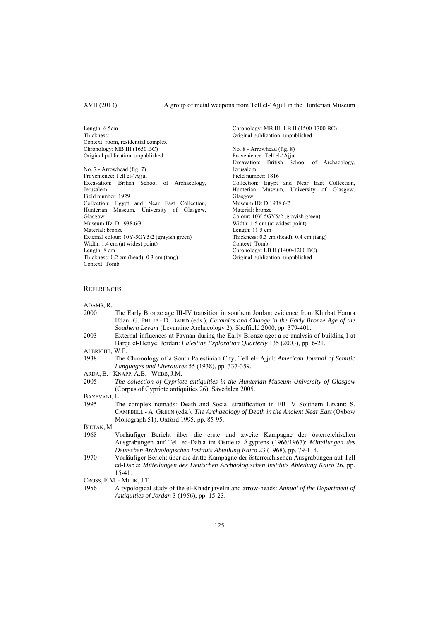Length: 6.5cm Thickness: Context: room, residential complex Chronology: MB III (1650 BC) Original publication: unpublished

No. 7 - Arrowhead (fig. 7) Provenience: Tell el-'Ajjul Excavation: British School of Archaeology, Jerusalem Field number: 1929 Collection: Egypt and Near East Collection, Hunterian Museum, University of Glasgow, Glasgow Museum ID: D.1938.6/3 Material: bronze External colour: 10Y-5GY5/2 (grayish green) Width: 1.4 cm (at widest point) Length: 8 cm Thickness: 0.2 cm (head); 0.3 cm (tang) Context: Tomb

Chronology: MB III -LB II (1500-1300 BC) Original publication: unpublished No. 8 - Arrowhead (fig. 8) Provenience: Tell el-'Ajjul Excavation: British School of Archaeology, Jerusalem Field number: 1816 Collection: Egypt and Near East Collection, Hunterian Museum, University of Glasgow, Glasgow Museum ID: D.1938.6/2 Material: bronze Colour: 10Y-5GY5/2 (grayish green) Width: 1.5 cm (at widest point) Length: 11.5 cm Thickness: 0.3 cm (head); 0.4 cm (tang) Context: Tomb Chronology: LB II (1400-1200 BC) Original publication: unpublished

### **REFERENCES**

ADAMS, R.

- 2000 The Early Bronze age III-IV transition in southern Jordan: evidence from Khirbat Hamra Ifdan: G. PHILIP - D. BAIRD (eds.), *Ceramics and Change in the Early Bronze Age of the Southern Levant* (Levantine Archaeology 2), Sheffield 2000, pp. 379-401.
- 2003 External influences at Faynan during the Early Bronze age: a re-analysis of building I at Barqa el-Hetiye, Jordan: *Palestine Exploration Quarterly* 135 (2003), pp. 6-21.
- ALBRIGHT, W.F.
- 1938 The Chronology of a South Palestinian City, Tell el-'Ajjul: *American Journal of Semitic Languages and Literatures* 55 (1938), pp. 337-359.
- ARDA, B. KNAPP, A.B. WEBB, J.M.
- 2005 *The collection of Cypriote antiquities in the Hunterian Museum University of Glasgow* (Corpus of Cypriote antiquities 26), Sӓvedalen 2005.

BAXEVANI, E.

1995 The complex nomads: Death and Social stratification in EB IV Southern Levant: S. CAMPBELL - A. GREEN (eds.), *The Archaeology of Death in the Ancient Near East* (Oxbow Monograph 51), Oxford 1995, pp. 85-95.

BIETAK, M.

- 1968 Vorläufiger Bericht über die erste und zweite Kampagne der österreichischen Ausgrabungen auf Tell ed-Dab' a im Ostdelta Ägyptens (1966/1967): *Mitteilungen des Deutschen Archäologischen Instituts Abteilung Kairo* 23 (1968), pp. 79-114.
- 1970 Vorläufiger Bericht über die dritte Kampagne der österreichischen Ausgrabungen auf Tell ed-Dab' a: *Mitteilungen des Deutschen Archäologischen Instituts Abteilung Kairo* 26, pp. 15-41.
- CROSS, F.M. MILIK, J.T.
- 1956 A typological study of the el-Khadr javelin and arrow-heads: *Annual of the Department of Antiquities of Jordan* 3 (1956), pp. 15-23.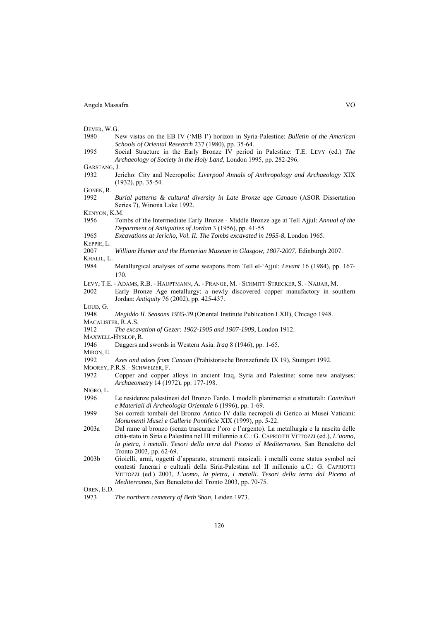DEVER, W.G.

- 1980 New vistas on the EB IV ('MB I') horizon in Syria-Palestine: *Bulletin of the American Schools of Oriental Research* 237 (1980), pp. 35-64.
- 1995 Social Structure in the Early Bronze IV period in Palestine: T.E. LEVY (ed.) *The Archaeology of Society in the Holy Land*, London 1995, pp. 282-296.

GARSTANG, J.

1932 Jericho: City and Necropolis: *Liverpool Annals of Anthropology and Archaeology* XIX (1932), pp. 35-54.

GONEN, R.

1992 *Burial patterns & cultural diversity in Late Bronze age Canaan* (ASOR Dissertation Series 7), Winona Lake 1992.

KENYON, K.M.

- 1956 Tombs of the Intermediate Early Bronze Middle Bronze age at Tell Ajjul: *Annual of the Department of Antiquities of Jordan* 3 (1956), pp. 41-55.
- 1965 *Excavations at Jericho, Vol. II. The Tombs excavated in 1955-8*, London 1965.
- KEPPIE, L.
- 2007 *William Hunter and the Hunterian Museum in Glasgow, 1807-2007*, Edinburgh 2007.
- KHALIL, L.
- 1984 Metallurgical analyses of some weapons from Tell el-'Ajjul: *Levant* 16 (1984), pp. 167- 170.
- LEVY, T.E. ADAMS, R.B. HAUPTMANN, A. PRANGE, M. SCHMITT-STRECKER, S. NAJJAR, M.
- 2002 Early Bronze Age metallurgy: a newly discovered copper manufactory in southern Jordan: *Antiquity* 76 (2002), pp. 425-437.

L<sub>OUD</sub><sub>G</sub>

- 1948 *Megiddo II. Seasons 1935-39* (Oriental Institute Publication LXII), Chicago 1948. MACALISTER, R.A.S.
- 
- 1912 *The excavation of Gezer: 1902-1905 and 1907-1909*, London 1912. MAXWELL-HYSLOP, R.
- 
- 1946 Daggers and swords in Western Asia: *Iraq* 8 (1946), pp. 1-65.
- MIRON, E.
- 1992 *Axes and adzes from Canaan* (Prähistorische Bronzefunde IX 19), Stuttgart 1992.
- MOOREY, P.R.S. SCHWEIZER, F.
- 1972 Copper and copper alloys in ancient Iraq, Syria and Palestine: some new analyses: *Archaeometry* 14 (1972), pp. 177-198.

NIGRO, L.

- 1996 Le residenze palestinesi del Bronzo Tardo. I modelli planimetrici e strutturali: *Contributi e Materiali di Archeologia Orientale* 6 (1996), pp. 1-69.
- 1999 Sei corredi tombali del Bronzo Antico IV dalla necropoli di Gerico ai Musei Vaticani: *Monumenti Musei e Gallerie Pontificie* XIX (1999), pp. 5-22.
- 2003a Dal rame al bronzo (senza trascurare l'oro e l'argento). La metallurgia e la nascita delle città-stato in Siria e Palestina nel III millennio a.C.: G. CAPRIOTTI VITTOZZI (ed.), *L'uomo, la pietra, i metalli. Tesori della terra dal Piceno al Mediterraneo*, San Benedetto del Tronto 2003, pp. 62-69.
- 2003b Gioielli, armi, oggetti d'apparato, strumenti musicali: i metalli come status symbol nei contesti funerari e cultuali della Siria-Palestina nel II millennio a.C.: G. CAPRIOTTI VITTOZZI (ed.) 2003, *L'uomo, la pietra, i metalli. Tesori della terra dal Piceno al Mediterraneo*, San Benedetto del Tronto 2003, pp. 70-75.

OREN, E.D.

1973 *The northern cemetery of Beth Shan*, Leiden 1973.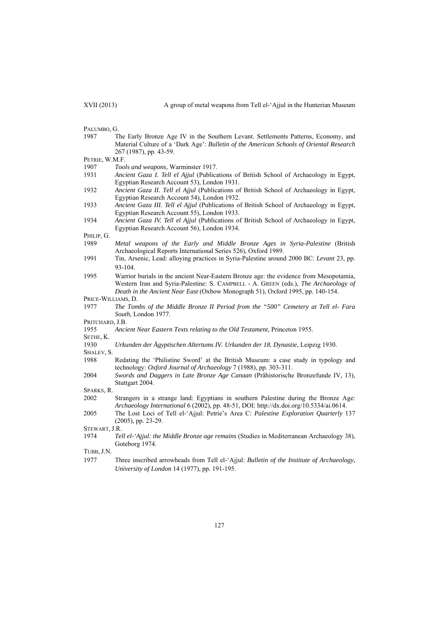PALUMBO, G.

- 1987 The Early Bronze Age IV in the Southern Levant. Settlements Patterns, Economy, and Material Culture of a 'Dark Age': *Bulletin of the American Schools of Oriental Research* 267 (1987), pp. 43-59.
- PETRIE, W.M.F.

1907 *Tools and weapons*, Warminster 1917.

- 1931 *Ancient Gaza I. Tell el Ajjul* (Publications of British School of Archaeology in Egypt, Egyptian Research Account 53), London 1931.
- 1932 *Ancient Gaza II. Tell el Ajjul* (Publications of British School of Archaeology in Egypt, Egyptian Research Account 54), London 1932.
- 1933 *Ancient Gaza III. Tell el Ajjul* (Publications of British School of Archaeology in Egypt, Egyptian Research Account 55), London 1933.
- 1934 *Ancient Gaza IV. Tell el Ajjul* (Publications of British School of Archaeology in Egypt, Egyptian Research Account 56), London 1934.

PHILIP, G.

- 1989 *Metal weapons of the Early and Middle Bronze Ages in Syria-Palestine* (British Archaeological Reports International Series 526), Oxford 1989.
- 1991 Tin, Arsenic, Lead: alloying practices in Syria-Palestine around 2000 BC: *Levant* 23, pp. 93-104.
- 1995 Warrior burials in the ancient Near-Eastern Bronze age: the evidence from Mesopotamia, Western Iran and Syria-Palestine: S. CAMPBELL - A. GREEN (eds.), *The Archaeology of Death in the Ancient Near East* (Oxbow Monograph 51), Oxford 1995, pp. 140-154.
- PRICE-WILLIAMS, D.
- 1977 *The Tombs of the Middle Bronze II Period from the "500" Cemetery at Tell el- Fara South*, London 1977.

PRITCHARD, J.B.

1955 *Ancient Near Eastern Texts relating to the Old Testament*, Princeton 1955.

SETHE, K.

1930 *Urkunden der Ägyptischen Altertums IV. Urkunden der 18. Dynastie*, Leipzig 1930. SHALEV<sub>S</sub>

- 1988 Redating the 'Philistine Sword' at the British Museum: a case study in typology and technology: *Oxford Journal of Archaeology* 7 (1988), pp. 303-311.
- 2004 *Swords and Daggers in Late Bronze Age Canaan* (Prähistorische Bronzefunde IV, 13), Stuttgart 2004.

SPARKS, R.

- 2002 Strangers in a strange land: Egyptians in southern Palestine during the Bronze Age: *Archaeology International* 6 (2002), pp. 48-51, DOI: http://dx.doi.org/10.5334/ai.0614.
- 2005 The Lost Loci of Tell el-'Ajjul: Petrie's Area C: *Palestine Exploration Quarterly* 137 (2005), pp. 23-29.

STEWART, J.R.

1974 *Tell el-'Ajjul: the Middle Bronze age remains* (Studies in Mediterranean Archaeology 38), Goteborg 1974.

TUBB, J.N.

1977 Three inscribed arrowheads from Tell el-'Ajjul: *Bulletin of the Institute of Archaeology, University of London* 14 (1977), pp. 191-195.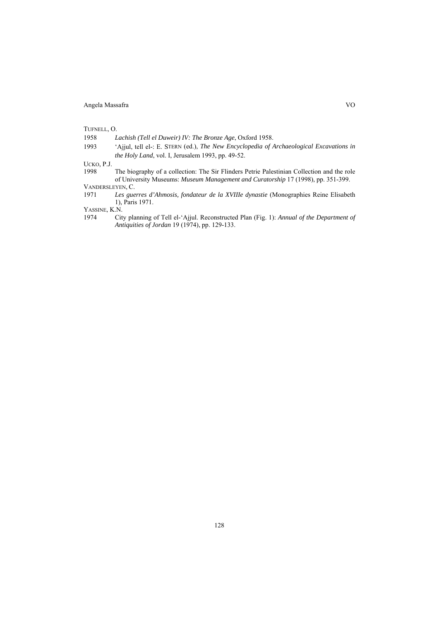TUFNELL, O.

1958 *Lachish (Tell el Duweir) IV: The Bronze Age*, Oxford 1958.

1993 'Ajjul, tell el-: E. STERN (ed.), *The New Encyclopedia of Archaeological Excavations in the Holy Land*, vol. I, Jerusalem 1993, pp. 49-52.

UCKO, P.J.

1998 The biography of a collection: The Sir Flinders Petrie Palestinian Collection and the role of University Museums: *Museum Management and Curatorship* 17 (1998), pp. 351-399.

VANDERSLEYEN, C.<br>1971 Les gue

1971 *Les guerres d'Ahmosis, fondateur de la XVIIIe dynastie* (Monographies Reine Elisabeth 1), Paris 1971.

YASSINE, K.N.<br>1974 Cit

1974 City planning of Tell el-'Ajjul. Reconstructed Plan (Fig. 1): *Annual of the Department of Antiquities of Jordan* 19 (1974), pp. 129-133.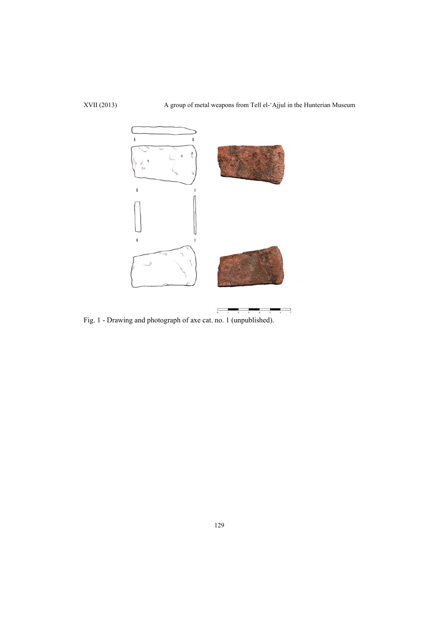XVII (2013) A group of metal weapons from Tell el-'Ajjul in the Hunterian Museum



Fig. 1 - Drawing and photograph of axe cat. no. 1 (unpublished).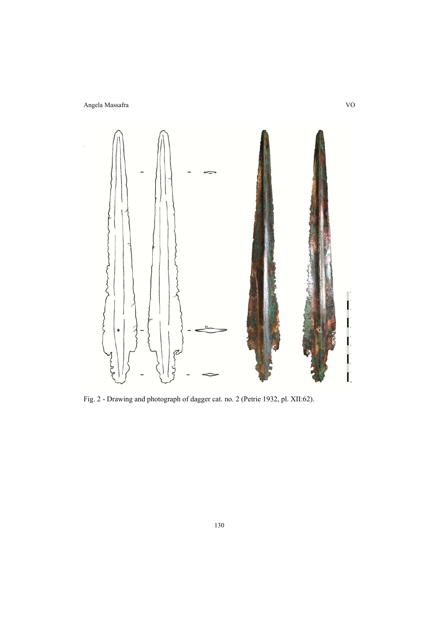

Fig. 2 - Drawing and photograph of dagger cat. no. 2 (Petrie 1932, pl. XII:62).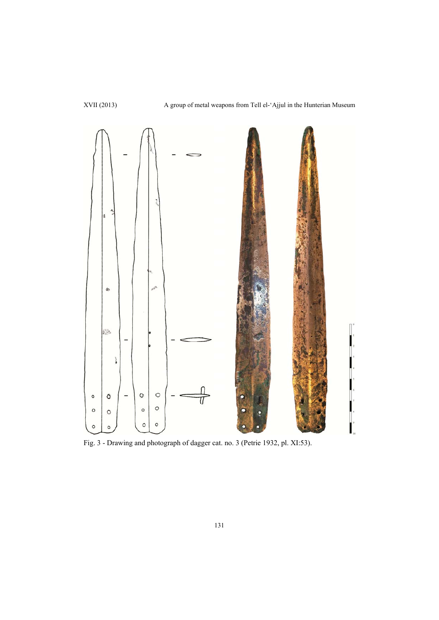

Fig. 3 - Drawing and photograph of dagger cat. no. 3 (Petrie 1932, pl. XI:53).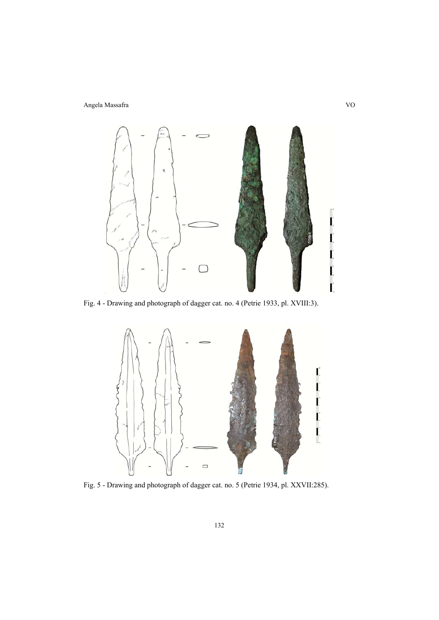

Fig. 4 - Drawing and photograph of dagger cat. no. 4 (Petrie 1933, pl. XVIII:3).



Fig. 5 - Drawing and photograph of dagger cat. no. 5 (Petrie 1934, pl. XXVII:285).